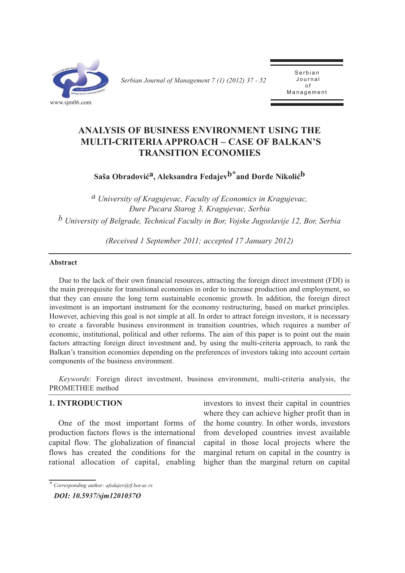

*Serbian Journal of Management 7 (1) (2012) 37 - 52* 

Serbian Journal of  $\overline{a}$ Management

# **ANALYSIS OF BUSINESS ENVIRONMENT USING THE MULTI-CRITERIA APPROACH – CASE OF BALKAN'S TRANSITION ECONOMIES**

**Saša Obradovića, Aleksandra Fedajevb\*and Đorđe Nikolićb**

*a University of Kragujevac, Faculty of Economics in Kragujevac, Đure Pucara Starog 3, Kragujevac, Serbia*

*b University of Belgrade, Technical Faculty in Bor, Vojske Jugoslavije 12, Bor, Serbia*

*(Received 1 September 2011; accepted 17 January 2012)*

### **Abstract**

Due to the lack of their own financial resources, attracting the foreign direct investment (FDI) is the main prerequisite for transitional economies in order to increase production and employment, so that they can ensure the long term sustainable economic growth. In addition, the foreign direct investment is an important instrument for the economy restructuring, based on market principles. However, achieving this goal is not simple at all. In order to attract foreign investors, it is necessary to create a favorable business environment in transition countries, which requires a number of economic, institutional, political and other reforms. The aim of this paper is to point out the main factors attracting foreign direct investment and, by using the multi-criteria approach, to rank the Balkan's transition economies depending on the preferences of investors taking into account certain components of the business environment.

*Keywords*: Foreign direct investment, business environment, multi-criteria analysis, the PROMETHEE method

# **1. INTRODUCTION**

One of the most important forms of production factors flows is the international capital flow. The globalization of financial flows has created the conditions for the rational allocation of capital, enabling investors to invest their capital in countries where they can achieve higher profit than in the home country. In other words, investors from developed countries invest available capital in those local projects where the marginal return on capital in the country is higher than the marginal return on capital

*<sup>\*</sup> Corresponding author: afedajev@tf.bor.ac.rs*

*DOI: 10.5937/sjm1201037O*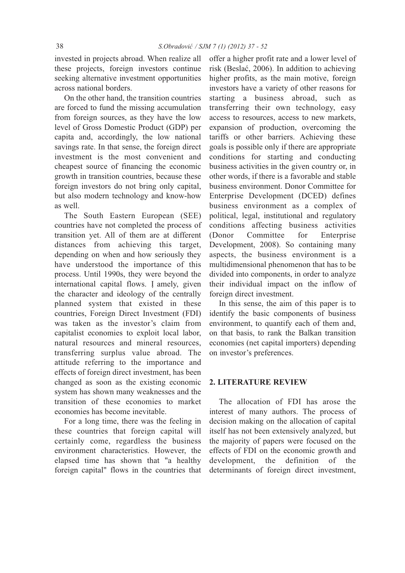invested in projects abroad. When realize all these projects, foreign investors continue seeking alternative investment opportunities across national borders.

On the other hand, the transition countries are forced to fund the missing accumulation from foreign sources, as they have the low level of Gross Domestic Product (GDP) per capita and, accordingly, the low national savings rate. In that sense, the foreign direct investment is the most convenient and cheapest source of financing the economic growth in transition countries, because these foreign investors do not bring only capital, but also modern technology and know-how as well.

The South Eastern European (SEE) countries have not completed the process of transition yet. All of them are at different distances from achieving this target, depending on when and how seriously they have understood the importance of this process. Until 1990s, they were beyond the international capital flows. I amely, given the character and ideology of the centrally planned system that existed in these countries, Foreign Direct Investment (FDI) was taken as the investor's claim from capitalist economies to exploit local labor, natural resources and mineral resources, transferring surplus value abroad. The attitude referring to the importance and effects of foreign direct investment, has been changed as soon as the existing economic system has shown many weaknesses and the transition of these economies to market economies has become inevitable.

For a long time, there was the feeling in these countries that foreign capital will certainly come, regardless the business environment characteristics. However, the elapsed time has shown that "a healthy foreign capital" flows in the countries that offer a higher profit rate and a lower level of risk (Beslać, 2006). In addition to achieving higher profits, as the main motive, foreign investors have a variety of other reasons for starting a business abroad, such as transferring their own technology, easy access to resources, access to new markets, expansion of production, overcoming the tariffs or other barriers. Achieving these goals is possible only if there are appropriate conditions for starting and conducting business activities in the given country or, in other words, if there is a favorable and stable business environment. Donor Committee for Enterprise Development (DCED) defines business environment as a complex of political, legal, institutional and regulatory conditions affecting business activities (Donor Committee for Enterprise Development, 2008). So containing many aspects, the business environment is a multidimensional phenomenon that has to be divided into components, in order to analyze their individual impact on the inflow of foreign direct investment.

In this sense, the aim of this paper is to identify the basic components of business environment, to quantify each of them and, on that basis, to rank the Balkan transition economies (net capital importers) depending on investor's preferences.

#### **2. LITERATURE REVIEW**

The allocation of FDI has arose the interest of many authors. The process of decision making on the allocation of capital itself has not been extensively analyzed, but the majority of papers were focused on the effects of FDI on the economic growth and development, the definition of the determinants of foreign direct investment,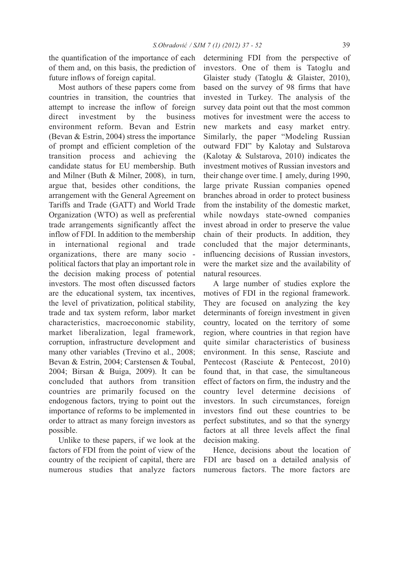the quantification of the importance of each of them and, on this basis, the prediction of future inflows of foreign capital.

Most authors of these papers come from countries in transition, the countries that attempt to increase the inflow of foreign direct investment by the business environment reform. Bevan and Estrin (Bevan & Estrin, 2004) stress the importance of prompt and efficient completion of the transition process and achieving the candidate status for EU membership. Buth and Milner (Buth & Milner, 2008), in turn, argue that, besides other conditions, the arrangement with the General Agreement on Tariffs and Trade (GATT) and World Trade Organization (WTO) as well as preferential trade arrangements significantly affect the inflow of FDI. In addition to the membership in international regional and trade organizations, there are many socio political factors that play an important role in the decision making process of potential investors. The most often discussed factors are the educational system, tax incentives, the level of privatization, political stability, trade and tax system reform, labor market characteristics, macroeconomic stability, market liberalization, legal framework, corruption, infrastructure development and many other variables (Trevino et al., 2008; Bevan & Estrin, 2004; Carstensen & Toubal, 2004; Birsan & Buiga, 2009). It can be concluded that authors from transition countries are primarily focused on the endogenous factors, trying to point out the importance of reforms to be implemented in order to attract as many foreign investors as possible.

Unlike to these papers, if we look at the factors of FDI from the point of view of the country of the recipient of capital, there are numerous studies that analyze factors

determining FDI from the perspective of investors. One of them is Tatoglu and Glaister study (Tatoglu & Glaister, 2010), based on the survey of 98 firms that have invested in Turkey. The analysis of the survey data point out that the most common motives for investment were the access to new markets and easy market entry. Similarly, the paper "Modeling Russian outward FDI" by Kalotay and Sulstarova (Kalotay & Sulstarova, 2010) indicates the investment motives of Russian investors and their change over time. I amely, during 1990, large private Russian companies opened branches abroad in order to protect business from the instability of the domestic market, while nowdays state-owned companies invest abroad in order to preserve the value chain of their products. In addition, they concluded that the major determinants, influencing decisions of Russian investors, were the market size and the availability of natural resources.

A large number of studies explore the motives of FDI in the regional framework. They are focused on analyzing the key determinants of foreign investment in given country, located on the territory of some region, where countries in that region have quite similar characteristics of business environment. In this sense, Rasciute and Pentecost (Rasciute & Pentecost, 2010) found that, in that case, the simultaneous effect of factors on firm, the industry and the country level determine decisions of investors. In such circumstances, foreign investors find out these countries to be perfect substitutes, and so that the synergy factors at all three levels affect the final decision making.

Hence, decisions about the location of FDI are based on a detailed analysis of numerous factors. The more factors are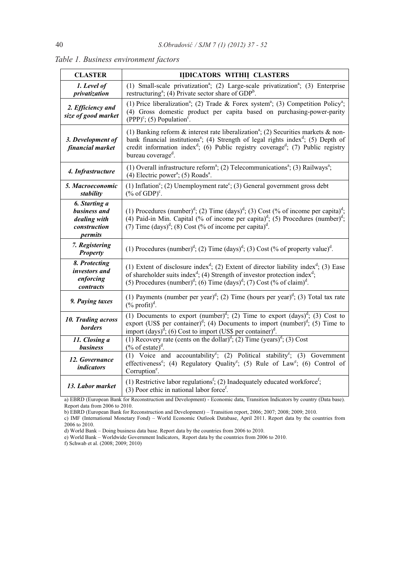| <b>CLASTER</b>                                                           | IIDICATORS WITHII CLASTERS                                                                                                                                                                                                                                                                                                                                     |  |  |  |  |
|--------------------------------------------------------------------------|----------------------------------------------------------------------------------------------------------------------------------------------------------------------------------------------------------------------------------------------------------------------------------------------------------------------------------------------------------------|--|--|--|--|
| 1. Level of<br>privatization                                             | (1) Small-scale privatization <sup>a</sup> ; (2) Large-scale privatization <sup>a</sup> ; (3) Enterprise<br>restructuring <sup>a</sup> ; (4) Private sector share of GDP <sup>b</sup> .                                                                                                                                                                        |  |  |  |  |
| 2. Efficiency and<br>size of good market                                 | (1) Price liberalization <sup>a</sup> ; (2) Trade & Forex system <sup>a</sup> ; (3) Competition Policy <sup>a</sup> ;<br>(4) Gross domestic product per capita based on purchasing-power-parity<br>$(PPP)^c$ ; (5) Population <sup>c</sup> .                                                                                                                   |  |  |  |  |
| 3. Development of<br>financial market                                    | (1) Banking reform $\&$ interest rate liberalization <sup>a</sup> ; (2) Securities markets $\&$ non-<br>bank financial institutions <sup>a</sup> ; (4) Strength of legal rights index <sup>d</sup> ; (5) Depth of<br>credit information index <sup>d</sup> ; (6) Public registry coverage <sup>d</sup> ; (7) Public registry<br>bureau coverage <sup>d</sup> . |  |  |  |  |
| 4. Infrastructure                                                        | (1) Overall infrastructure reform <sup>a</sup> ; (2) Telecommunications <sup>a</sup> ; (3) Railways <sup>a</sup> ;<br>(4) Electric power <sup>a</sup> ; (5) Roads <sup>a</sup> .                                                                                                                                                                               |  |  |  |  |
| 5. Macroeconomic<br>stability                                            | (1) Inflation <sup>c</sup> ; (2) Unemployment rate <sup>c</sup> ; (3) General government gross debt<br>$(\%$ of GDP) <sup>c</sup> .                                                                                                                                                                                                                            |  |  |  |  |
| 6. Starting a<br>business and<br>dealing with<br>construction<br>permits | (1) Procedures (number) <sup>d</sup> ; (2) Time (days) <sup>d</sup> ; (3) Cost (% of income per capita) <sup>d</sup> ;<br>(4) Paid-in Min. Capital (% of income per capita) <sup>d</sup> ; (5) Procedures (number) <sup>d</sup> ;<br>(7) Time $(days)^d$ ; (8) Cost (% of income per capita) <sup>d</sup> .                                                    |  |  |  |  |
| 7. Registering<br><b>Property</b>                                        | (1) Procedures (number) <sup>d</sup> ; (2) Time (days) <sup>d</sup> ; (3) Cost (% of property value) <sup>d</sup> .                                                                                                                                                                                                                                            |  |  |  |  |
| 8. Protecting<br>investors and<br>enforcing<br>contracts                 | (1) Extent of disclosure index <sup>d</sup> ; (2) Extent of director liability index <sup>d</sup> ; (3) Ease<br>of shareholder suits index <sup>d</sup> ; (4) Strength of investor protection index <sup>d</sup> ;<br>(5) Procedures (number) <sup>d</sup> ; (6) Time (days) <sup>d</sup> ; (7) Cost (% of claim) <sup>d</sup> .                               |  |  |  |  |
| 9. Paying taxes                                                          | (1) Payments (number per year) <sup>d</sup> ; (2) Time (hours per year) <sup>d</sup> ; (3) Total tax rate<br>$(\%$ profit) <sup>d</sup> .                                                                                                                                                                                                                      |  |  |  |  |
| 10. Trading across<br><b>borders</b>                                     | (1) Documents to export (number) <sup>d</sup> ; (2) Time to export (days) <sup>d</sup> ; (3) Cost to<br>export (US\$ per container) <sup>d</sup> ; (4) Documents to import (number) <sup>d</sup> ; (5) Time to<br>import $(days)^d$ ; (6) Cost to import (US\$ per container) <sup>d</sup> .                                                                   |  |  |  |  |
| 11. Closing a<br>business                                                | (1) Recovery rate (cents on the dollar) <sup>d</sup> ; (2) Time (years) <sup>d</sup> ; (3) Cost<br>$(\%$ of estate) <sup>d</sup> .                                                                                                                                                                                                                             |  |  |  |  |
| 12. Governance<br><i>indicators</i>                                      | (1) Voice and accountability <sup>e</sup> ; (2) Political stability <sup>e</sup> ; (3) Government<br>effectiveness <sup>e</sup> ; (4) Regulatory Quality <sup>e</sup> ; (5) Rule of Law <sup>e</sup> ; (6) Control of<br>Corruption <sup>e</sup> .                                                                                                             |  |  |  |  |
| 13. Labor market                                                         | (1) Restrictive labor regulations <sup>f</sup> ; (2) Inadequately educated workforce <sup>f</sup> ;<br>$(3)$ Poor ethic in national labor force <sup>f</sup> .                                                                                                                                                                                                 |  |  |  |  |

*Table 1. Business environment factors*

a) EBRD (European Bank for Reconstruction and Development) - Economic data, Transition Indicators by country (Data base). Report data from 2006 to 2010.

b) EBRD (European Bank for Reconstruction and Development) – Transition report, 2006; 2007; 2008; 2009; 2010.

c) IMF (International Monetary Fond) – World Economic Outlook Database, April 2011. Report data by the countries from 2006 to 2010.

d) World Bank – Doing business data base. Report data by the countries from 2006 to 2010.

e) World Bank – Worldwide Government Indicators, Report data by the countries from 2006 to 2010.

f) Schwab et al. (2008; 2009; 2010)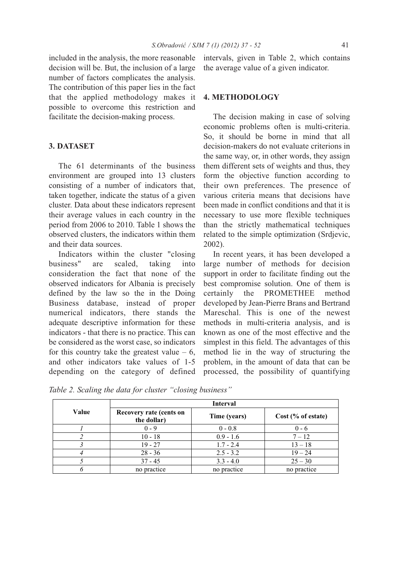included in the analysis, the more reasonable decision will be. But, the inclusion of a large number of factors complicates the analysis. The contribution of this paper lies in the fact that the applied methodology makes it possible to overcome this restriction and facilitate the decision-making process.

### **3. DATASET**

The 61 determinants of the business environment are grouped into 13 clusters consisting of a number of indicators that, taken together, indicate the status of a given cluster. Data about these indicators represent their average values in each country in the period from 2006 to 2010. Table 1 shows the observed clusters, the indicators within them and their data sources.

Indicators within the cluster "closing business" are scaled, taking into consideration the fact that none of the observed indicators for Albania is precisely defined by the law so the in the Doing Business database, instead of proper numerical indicators, there stands the adequate descriptive information for these indicators - that there is no practice. This can be considered as the worst case, so indicators for this country take the greatest value  $-6$ , and other indicators take values of 1-5 depending on the category of defined intervals, given in Table 2, which contains the average value of a given indicator.

#### **4. METHODOLOGY**

The decision making in case of solving economic problems often is multi-criteria. So, it should be borne in mind that all decision-makers do not evaluate criterions in the same way, or, in other words, they assign them different sets of weights and thus, they form the objective function according to their own preferences. The presence of various criteria means that decisions have been made in conflict conditions and that it is necessary to use more flexible techniques than the strictly mathematical techniques related to the simple optimization (Srdjevic, 2002).

In recent years, it has been developed a large number of methods for decision support in order to facilitate finding out the best compromise solution. One of them is certainly the PROMETHEE method developed by Jean-Pierre Brans and Bertrand Mareschal. This is one of the newest methods in multi-criteria analysis, and is known as one of the most effective and the simplest in this field. The advantages of this method lie in the way of structuring the problem, in the amount of data that can be processed, the possibility of quantifying

|       | <b>Interval</b>                                        |             |                    |  |  |  |
|-------|--------------------------------------------------------|-------------|--------------------|--|--|--|
| Value | Recovery rate (cents on<br>Time (years)<br>the dollar) |             | Cost (% of estate) |  |  |  |
|       | $0 - 9$                                                | $0 - 0.8$   | $0 - 6$            |  |  |  |
|       | $10 - 18$                                              | $0.9 - 1.6$ | $7 - 12$           |  |  |  |
|       | $19 - 27$                                              | $1.7 - 2.4$ | $13 - 18$          |  |  |  |
|       | $28 - 36$                                              | $2.5 - 3.2$ | $19 - 24$          |  |  |  |
|       | $37 - 45$                                              | $3.3 - 4.0$ | $25 - 30$          |  |  |  |
|       | no practice                                            | no practice | no practice        |  |  |  |

*Table 2. Scaling the data for cluster "closing business"*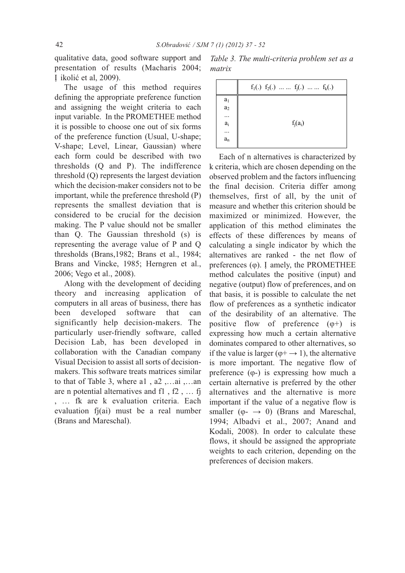qualitative data, good software support and presentation of results (Macharis 2004; I ikolić et al, 2009).

The usage of this method requires defining the appropriate preference function and assigning the weight criteria to each input variable. In the PROMETHEE method it is possible to choose one out of six forms of the preference function (Usual, U-shape; V-shape; Level, Linear, Gaussian) where each form could be described with two thresholds (Q and P). The indifference threshold (Q) represents the largest deviation which the decision-maker considers not to be important, while the preference threshold (P) represents the smallest deviation that is considered to be crucial for the decision making. The P value should not be smaller than Q. The Gaussian threshold (s) is representing the average value of P and Q thresholds (Brans,1982; Brans et al., 1984; Brans and Vincke, 1985; Herngren et al., 2006; Vego et al., 2008).

Along with the development of deciding theory and increasing application of computers in all areas of business, there has been developed software that can significantly help decision-makers. The particularly user-friendly software, called Decision Lab, has been developed in collaboration with the Canadian company Visual Decision to assist all sorts of decisionmakers. This software treats matrices similar to that of Table 3, where a1 , a2 ,…ai ,…an are n potential alternatives and f1 , f2 , … fj , … fk are k evaluation criteria. Each evaluation fj(ai) must be a real number (Brans and Mareschal).

*Table 3. The multi-criteria problem set as a matrix*

|                | $f_1(.) f_2(.) \dots  f_j(.) \dots  f_k(.)$ |  |  |  |  |
|----------------|---------------------------------------------|--|--|--|--|
|                |                                             |  |  |  |  |
| $a_1$<br>$a_2$ |                                             |  |  |  |  |
| .              |                                             |  |  |  |  |
| $a_i$          | $f_i(a_i)$                                  |  |  |  |  |
| .              |                                             |  |  |  |  |
| $a_n$          |                                             |  |  |  |  |
|                |                                             |  |  |  |  |

Each of n alternatives is characterized by k criteria, which are chosen depending on the observed problem and the factors influencing the final decision. Criteria differ among themselves, first of all, by the unit of measure and whether this criterion should be maximized or minimized. However, the application of this method eliminates the effects of these differences by means of calculating a single indicator by which the alternatives are ranked - the net flow of preferences  $(\varphi)$ . I amely, the PROMETHEE method calculates the positive (input) and negative (output) flow of preferences, and on that basis, it is possible to calculate the net flow of preferences as a synthetic indicator of the desirability of an alternative. The positive flow of preference  $(\varphi +)$  is expressing how much a certain alternative dominates compared to other alternatives, so if the value is larger ( $\varphi$ +  $\rightarrow$  1), the alternative is more important. The negative flow of preference (φ-) is expressing how much a certain alternative is preferred by the other alternatives and the alternative is more important if the value of a negative flow is smaller ( $\varphi \rightarrow 0$ ) (Brans and Mareschal, 1994; Albadvi et al., 2007; Anand and Kodali, 2008). In order to calculate these flows, it should be assigned the appropriate weights to each criterion, depending on the preferences of decision makers.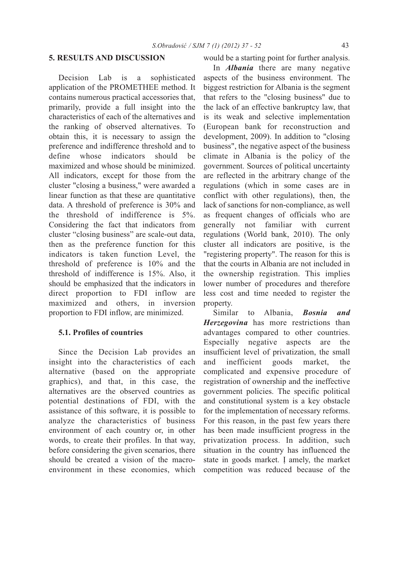## **5. RESULTS AND DISCUSSION**

Decision Lab is a sophisticated application of the PROMETHEE method. It contains numerous practical accessories that, primarily, provide a full insight into the characteristics of each of the alternatives and the ranking of observed alternatives. To obtain this, it is necessary to assign the preference and indifference threshold and to define whose indicators should be maximized and whose should be minimized. All indicators, except for those from the cluster "closing a business," were awarded a linear function as that these are quantitative data. A threshold of preference is 30% and the threshold of indifference is 5%. Considering the fact that indicators from cluster "closing business" are scale-out data, then as the preference function for this indicators is taken function Level, the threshold of preference is 10% and the threshold of indifference is 15%. Also, it should be emphasized that the indicators in direct proportion to FDI inflow are maximized and others, in inversion proportion to FDI inflow, are minimized.

### **5.1. Profiles of countries**

Since the Decision Lab provides an insight into the characteristics of each alternative (based on the appropriate graphics), and that, in this case, the alternatives are the observed countries as potential destinations of FDI, with the assistance of this software, it is possible to analyze the characteristics of business environment of each country or, in other words, to create their profiles. In that way, before considering the given scenarios, there should be created a vision of the macroenvironment in these economies, which

### would be a starting point for further analysis.

In *Albania* there are many negative aspects of the business environment. The biggest restriction for Albania is the segment that refers to the "closing business" due to the lack of an effective bankruptcy law, that is its weak and selective implementation (European bank for reconstruction and development, 2009). In addition to "closing business", the negative aspect of the business climate in Albania is the policy of the government. Sources of political uncertainty are reflected in the arbitrary change of the regulations (which in some cases are in conflict with other regulations), then, the lack of sanctions for non-compliance, as well as frequent changes of officials who are generally not familiar with current regulations (World bank, 2010). The only cluster all indicators are positive, is the "registering property". The reason for this is that the courts in Albania are not included in the ownership registration. This implies lower number of procedures and therefore less cost and time needed to register the property.

Similar to Albania, *Bosnia and Herzegovina* has more restrictions than advantages compared to other countries. Especially negative aspects are the insufficient level of privatization, the small and inefficient goods market, the complicated and expensive procedure of registration of ownership and the ineffective government policies. The specific political and constitutional system is a key obstacle for the implementation of necessary reforms. For this reason, in the past few years there has been made insufficient progress in the privatization process. In addition, such situation in the country has influenced the state in goods market. I amely, the market competition was reduced because of the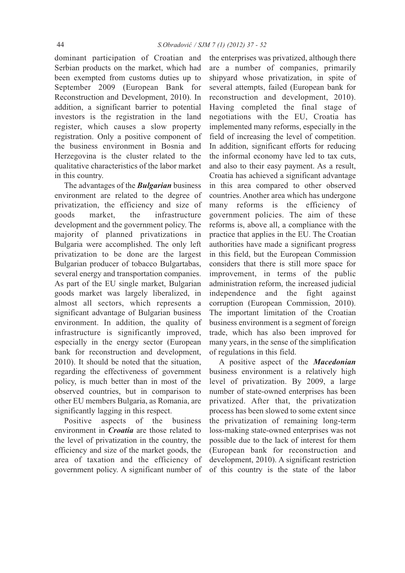dominant participation of Croatian and Serbian products on the market, which had been exempted from customs duties up to September 2009 (European Bank for Reconstruction and Development, 2010). In addition, a significant barrier to potential investors is the registration in the land register, which causes a slow property registration. Only a positive component of the business environment in Bosnia and Herzegovina is the cluster related to the qualitative characteristics of the labor market in this country.

The advantages of the *Bulgarian* business environment are related to the degree of privatization, the efficiency and size of goods market, the infrastructure development and the government policy. The majority of planned privatizations in Bulgaria were accomplished. The only left privatization to be done are the largest Bulgarian producer of tobacco Bulgartabas, several energy and transportation companies. As part of the EU single market, Bulgarian goods market was largely liberalized, in almost all sectors, which represents a significant advantage of Bulgarian business environment. In addition, the quality of infrastructure is significantly improved, especially in the energy sector (European bank for reconstruction and development, 2010). It should be noted that the situation, regarding the effectiveness of government policy, is much better than in most of the observed countries, but in comparison to other EU members Bulgaria, as Romania, are significantly lagging in this respect.

Positive aspects of the business environment in *Croatia* are those related to the level of privatization in the country, the efficiency and size of the market goods, the area of taxation and the efficiency of government policy. A significant number of the enterprises was privatized, although there are a number of companies, primarily shipyard whose privatization, in spite of several attempts, failed (European bank for reconstruction and development, 2010). Having completed the final stage of negotiations with the EU, Croatia has implemented many reforms, especially in the field of increasing the level of competition. In addition, significant efforts for reducing the informal economy have led to tax cuts, and also to their easy payment. As a result, Croatia has achieved a significant advantage in this area compared to other observed countries. Another area which has undergone many reforms is the efficiency of government policies. The aim of these reforms is, above all, a compliance with the practice that applies in the EU. The Croatian authorities have made a significant progress in this field, but the European Commission considers that there is still more space for improvement, in terms of the public administration reform, the increased judicial independence and the fight against corruption (European Commission, 2010). The important limitation of the Croatian business environment is a segment of foreign trade, which has also been improved for many years, in the sense of the simplification of regulations in this field.

A positive aspect of the *Macedonian* business environment is a relatively high level of privatization. By 2009, a large number of state-owned enterprises has been privatized. After that, the privatization process has been slowed to some extent since the privatization of remaining long-term loss-making state-owned enterprises was not possible due to the lack of interest for them (European bank for reconstruction and development, 2010). A significant restriction of this country is the state of the labor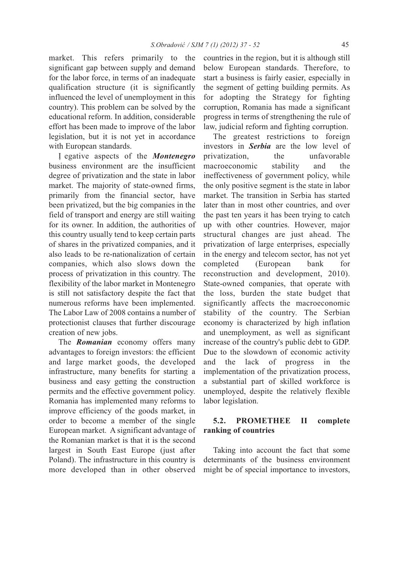market. This refers primarily to the significant gap between supply and demand for the labor force, in terms of an inadequate qualification structure (it is significantly influenced the level of unemployment in this country). This problem can be solved by the educational reform. In addition, considerable effort has been made to improve of the labor legislation, but it is not yet in accordance with European standards.

N egative aspects of the *Montenegro* business environment are the insufficient degree of privatization and the state in labor market. The majority of state-owned firms, primarily from the financial sector, have been privatized, but the big companies in the field of transport and energy are still waiting for its owner. In addition, the authorities of this country usually tend to keep certain parts of shares in the privatized companies, and it also leads to be re-nationalization of certain companies, which also slows down the process of privatization in this country. The flexibility of the labor market in Montenegro is still not satisfactory despite the fact that numerous reforms have been implemented. The Labor Law of 2008 contains a number of protectionist clauses that further discourage creation of new jobs.

The *Romanian* economy offers many advantages to foreign investors: the efficient and large market goods, the developed infrastructure, many benefits for starting a business and easy getting the construction permits and the effective government policy. Romania has implemented many reforms to improve efficiency of the goods market, in order to become a member of the single European market. A significant advantage of the Romanian market is that it is the second largest in South East Europe (just after Poland). The infrastructure in this country is more developed than in other observed

countries in the region, but it is although still below European standards. Therefore, to start a business is fairly easier, especially in the segment of getting building permits. As for adopting the Strategy for fighting corruption, Romania has made a significant progress in terms of strengthening the rule of law, judicial reform and fighting corruption.

The greatest restrictions to foreign investors in *Serbia* are the low level of privatization, the unfavorable macroeconomic stability and the ineffectiveness of government policy, while the only positive segment is the state in labor market. The transition in Serbia has started later than in most other countries, and over the past ten years it has been trying to catch up with other countries. However, major structural changes are just ahead. The privatization of large enterprises, especially in the energy and telecom sector, has not yet completed (European bank for reconstruction and development, 2010). State-owned companies, that operate with the loss, burden the state budget that significantly affects the macroeconomic stability of the country. The Serbian economy is characterized by high inflation and unemployment, as well as significant increase of the country's public debt to GDP. Due to the slowdown of economic activity and the lack of progress in the implementation of the privatization process, a substantial part of skilled workforce is unemployed, despite the relatively flexible labor legislation.

# **5.2. PROMETHEE II complete ranking of countries**

Taking into account the fact that some determinants of the business environment might be of special importance to investors,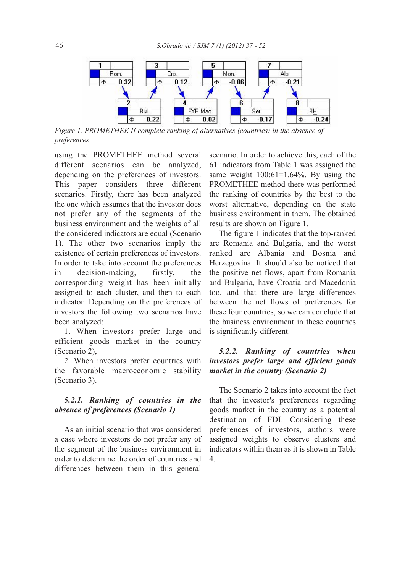

*Figure 1. PROMETHEE II complete ranking of alternatives (countries) in the absence of preferences*

using the PROMETHEE method several different scenarios can be analyzed, depending on the preferences of investors. This paper considers three different scenarios. Firstly, there has been analyzed the one which assumes that the investor does not prefer any of the segments of the business environment and the weights of all the considered indicators are equal (Scenario 1). The other two scenarios imply the existence of certain preferences of investors. In order to take into account the preferences in decision-making, firstly, the corresponding weight has been initially assigned to each cluster, and then to each indicator. Depending on the preferences of investors the following two scenarios have been analyzed:

1. When investors prefer large and efficient goods market in the country (Scenario 2),

2. When investors prefer countries with the favorable macroeconomic stability (Scenario 3).

# *5.2.1. Ranking of countries in the absence of preferences (Scenario 1)*

As an initial scenario that was considered a case where investors do not prefer any of the segment of the business environment in order to determine the order of countries and differences between them in this general

scenario. In order to achieve this, each of the 61 indicators from Table 1 was assigned the same weight  $100:61=1.64\%$ . By using the PROMETHEE method there was performed the ranking of countries by the best to the worst alternative, depending on the state business environment in them. The obtained results are shown on Figure 1.

The figure 1 indicates that the top-ranked are Romania and Bulgaria, and the worst ranked are Albania and Bosnia and Herzegovina. It should also be noticed that the positive net flows, apart from Romania and Bulgaria, have Croatia and Macedonia too, and that there are large differences between the net flows of preferences for these four countries, so we can conclude that the business environment in these countries is significantly different.

# *5.2.2. Ranking of countries when investors prefer large and efficient goods market in the country (Scenario 2)*

The Scenario 2 takes into account the fact that the investor's preferences regarding goods market in the country as a potential destination of FDI. Considering these preferences of investors, authors were assigned weights to observe clusters and indicators within them as it is shown in Table 4.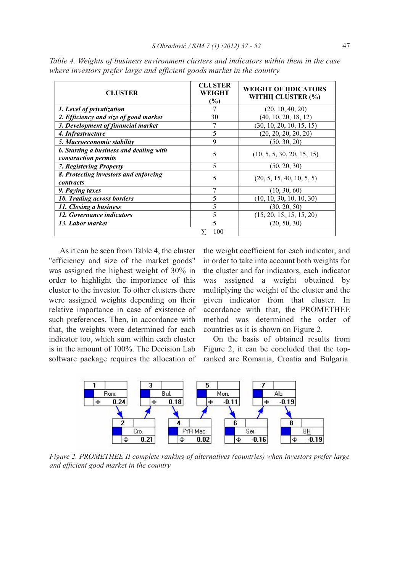| <b>CLUSTER</b>                                                  | <b>CLUSTER</b><br><b>WEIGHT</b><br>(%) | <b>WEIGHT OF IIDICATORS</b><br>WITHII CLUSTER (%) |
|-----------------------------------------------------------------|----------------------------------------|---------------------------------------------------|
| 1. Level of privatization                                       | 7                                      | (20, 10, 40, 20)                                  |
| 2. Efficiency and size of good market                           | 30                                     | (40, 10, 20, 18, 12)                              |
| 3. Development of financial market                              |                                        | (30, 10, 20, 10, 15, 15)                          |
| 4. Infrastructure                                               | 5                                      | (20, 20, 20, 20, 20)                              |
| 5. Macroeconomic stability                                      | 9                                      | (50, 30, 20)                                      |
| 6. Starting a business and dealing with<br>construction permits | 5                                      | (10, 5, 5, 30, 20, 15, 15)                        |
| 7. Registering Property                                         | 5                                      | (50, 20, 30)                                      |
| 8. Protecting investors and enforcing<br>contracts              | 5                                      | (20, 5, 15, 40, 10, 5, 5)                         |
| 9. Paying taxes                                                 | 7                                      | (10, 30, 60)                                      |
| 10. Trading across borders                                      | 5                                      | (10, 10, 30, 10, 10, 30)                          |
| 11. Closing a business                                          | 5                                      | (30, 20, 50)                                      |
| 12. Governance indicators                                       | 5                                      | (15, 20, 15, 15, 15, 20)                          |
| 13. Labor market                                                | $\varsigma$                            | (20, 50, 30)                                      |
|                                                                 | $= 100$                                |                                                   |

*Table 4. Weights of business environment clusters and indicators within them in the case where investors prefer large and efficient goods market in the country*

As it can be seen from Table 4, the cluster "efficiency and size of the market goods" was assigned the highest weight of 30% in order to highlight the importance of this cluster to the investor. To other clusters there were assigned weights depending on their relative importance in case of existence of such preferences. Then, in accordance with that, the weights were determined for each indicator too, which sum within each cluster is in the amount of 100%. The Decision Lab software package requires the allocation of the weight coefficient for each indicator, and in order to take into account both weights for the cluster and for indicators, each indicator was assigned a weight obtained by multiplying the weight of the cluster and the given indicator from that cluster. In accordance with that, the PROMETHEE method was determined the order of countries as it is shown on Figure 2.

On the basis of obtained results from Figure 2, it can be concluded that the topranked are Romania, Croatia and Bulgaria.



*Figure 2. PROMETHEE II complete ranking of alternatives (countries) when investors prefer large and efficient good market in the country*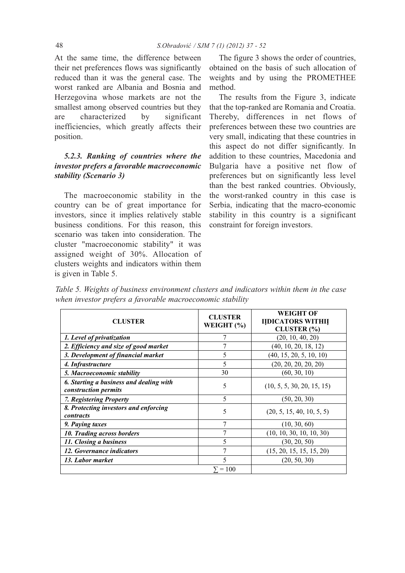At the same time, the difference between their net preferences flows was significantly reduced than it was the general case. The worst ranked are Albania and Bosnia and Herzegovina whose markets are not the smallest among observed countries but they are characterized by significant inefficiencies, which greatly affects their position.

# *5.2.3. Ranking of countries where the investor prefers a favorable macroeconomic stability (Scenario 3)*

The macroeconomic stability in the country can be of great importance for investors, since it implies relatively stable business conditions. For this reason, this scenario was taken into consideration. The cluster "macroeconomic stability" it was assigned weight of 30%. Allocation of clusters weights and indicators within them is given in Table 5.

The figure 3 shows the order of countries, obtained on the basis of such allocation of weights and by using the PROMETHEE method.

The results from the Figure 3, indicate that the top-ranked are Romania and Croatia. Thereby, differences in net flows of preferences between these two countries are very small, indicating that these countries in this aspect do not differ significantly. In addition to these countries, Macedonia and Bulgaria have a positive net flow of preferences but on significantly less level than the best ranked countries. Obviously, the worst-ranked country in this case is Serbia, indicating that the macro-economic stability in this country is a significant constraint for foreign investors.

|  | Table 5. Weights of business environment clusters and indicators within them in the case |  |  |  |  |
|--|------------------------------------------------------------------------------------------|--|--|--|--|
|  | when investor prefers a favorable macroeconomic stability                                |  |  |  |  |

| <b>CLUSTER</b>                                                  | <b>CLUSTER</b><br>WEIGHT (%) | <b>WEIGHT OF</b><br><b>IIDICATORS WITHII</b><br>CLUSTER (%) |
|-----------------------------------------------------------------|------------------------------|-------------------------------------------------------------|
| 1. Level of privatization                                       |                              | (20, 10, 40, 20)                                            |
| 2. Efficiency and size of good market                           |                              | (40, 10, 20, 18, 12)                                        |
| 3. Development of financial market                              | 5                            | (40, 15, 20, 5, 10, 10)                                     |
| 4. Infrastructure                                               | 5                            | (20, 20, 20, 20, 20)                                        |
| 5. Macroeconomic stability                                      | 30                           | (60, 30, 10)                                                |
| 6. Starting a business and dealing with<br>construction permits | 5                            | (10, 5, 5, 30, 20, 15, 15)                                  |
| 7. Registering Property                                         | 5                            | (50, 20, 30)                                                |
| 8. Protecting investors and enforcing<br>contracts              | 5                            | (20, 5, 15, 40, 10, 5, 5)                                   |
| 9. Paying taxes                                                 | $\tau$                       | (10, 30, 60)                                                |
| 10. Trading across borders                                      | 7                            | (10, 10, 30, 10, 10, 30)                                    |
| 11. Closing a business                                          | 5                            | (30, 20, 50)                                                |
| 12. Governance indicators                                       | 7                            | (15, 20, 15, 15, 15, 20)                                    |
| 13. Labor market                                                | 5                            | (20, 50, 30)                                                |
|                                                                 | $\Sigma = 100$               |                                                             |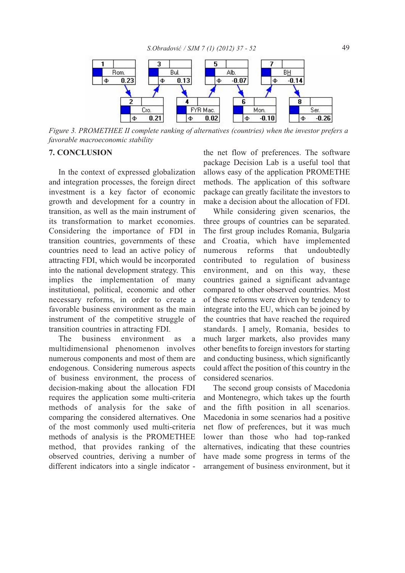

*Figure 3. PROMETHEE II complete ranking of alternatives (countries) when the investor prefers a favorable macroeconomic stability*

## **7. CONCLUSION**

In the context of expressed globalization and integration processes, the foreign direct investment is a key factor of economic growth and development for a country in transition, as well as the main instrument of its transformation to market economies. Considering the importance of FDI in transition countries, governments of these countries need to lead an active policy of attracting FDI, which would be incorporated into the national development strategy. This implies the implementation of many institutional, political, economic and other necessary reforms, in order to create a favorable business environment as the main instrument of the competitive struggle of transition countries in attracting FDI.

The business environment as a multidimensional phenomenon involves numerous components and most of them are endogenous. Considering numerous aspects of business environment, the process of decision-making about the allocation FDI requires the application some multi-criteria methods of analysis for the sake of comparing the considered alternatives. One of the most commonly used multi-criteria methods of analysis is the PROMETHEE method, that provides ranking of the observed countries, deriving a number of different indicators into a single indicator -

the net flow of preferences. The software package Decision Lab is a useful tool that allows easy of the application PROMETHE methods. The application of this software package can greatly facilitate the investors to make a decision about the allocation of FDI.

While considering given scenarios, the three groups of countries can be separated. The first group includes Romania, Bulgaria and Croatia, which have implemented numerous reforms that undoubtedly contributed to regulation of business environment, and on this way, these countries gained a significant advantage compared to other observed countries. Most of these reforms were driven by tendency to integrate into the EU, which can be joined by the countries that have reached the required standards. I amely, Romania, besides to much larger markets, also provides many other benefits to foreign investors for starting and conducting business, which significantly could affect the position of this country in the considered scenarios.

The second group consists of Macedonia and Montenegro, which takes up the fourth and the fifth position in all scenarios. Macedonia in some scenarios had a positive net flow of preferences, but it was much lower than those who had top-ranked alternatives, indicating that these countries have made some progress in terms of the arrangement of business environment, but it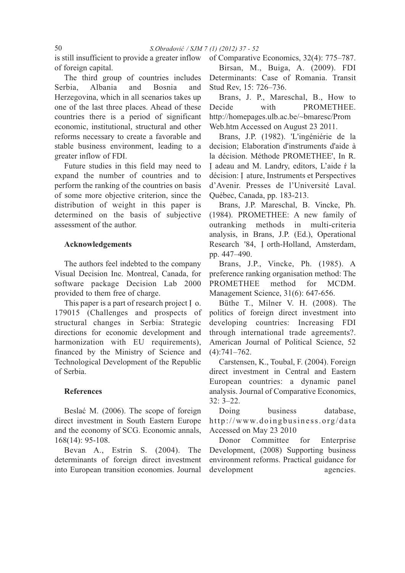is still insufficient to provide a greater inflow of foreign capital.

The third group of countries includes Serbia, Albania and Bosnia and Herzegovina, which in all scenarios takes up one of the last three places. Ahead of these countries there is a period of significant economic, institutional, structural and other reforms necessary to create a favorable and stable business environment, leading to a greater inflow of FDI.

Future studies in this field may need to expand the number of countries and to perform the ranking of the countries on basis of some more objective criterion, since the distribution of weight in this paper is determined on the basis of subjective assessment of the author.

### **Acknowledgements**

The authors feel indebted to the company Visual Decision Inc. Montreal, Canada, for software package Decision Lab 2000 provided to them free of charge.

This paper is a part of research project I o. 179015 (Challenges and prospects of structural changes in Serbia: Strategic directions for economic development and harmonization with EU requirements), financed by the Ministry of Science and Technological Development of the Republic of Serbia.

## **References**

Beslać M. (2006). The scope of foreign direct investment in South Eastern Europe and the economy of SCG. Economic annals, 168(14): 95-108.

Bevan A., Estrin S. (2004). The determinants of foreign direct investment into European transition economies. Journal of Comparative Economics, 32(4): 775–787. Birsan, M., Buiga, A. (2009). FDI Determinants: Case of Romania. Transit Stud Rev, 15: 726–736.

Brans, J. P., Mareschal, B., How to Decide with **PROMETHEE.** http://homepages.ulb.ac.be/~bmaresc/Prom Web.htm Accessed on August 23 2011.

Brans, J.P. (1982). 'L'ingéniérie de la decision; Elaboration d'instruments d'aide à la décision. Méthode PROMETHEE', In R. N adeau and M. Landry, editors, L'aide ŕ la décision: I ature, Instruments et Perspectives d'Avenir. Presses de l'Université Laval. Québec, Canada, pp. 183-213.

Brans, J.P. Mareschal, B. Vincke, Ph. (1984). PROMETHEE: A new family of outranking methods in multi-criteria analysis, in Brans, J.P. (Ed.), Operational Research '84, I orth-Holland, Amsterdam, pp. 447–490.

Brans, J.P., Vincke, Ph. (1985). A preference ranking organisation method: The PROMETHEE method for MCDM. Management Science, 31(6): 647-656.

Büthe T., Milner V. H. (2008). The politics of foreign direct investment into developing countries: Increasing FDI through international trade agreements?. American Journal of Political Science, 52 (4):741–762.

Carstensen, K., Toubal, F. (2004). Foreign direct investment in Central and Eastern European countries: a dynamic panel analysis. Journal of Comparative Economics, 32: 3–22.

Doing business database. http://www.doingbusiness.org/data Accessed on May 23 2010

Donor Committee for Enterprise Development, (2008) Supporting business environment reforms. Practical guidance for development agencies.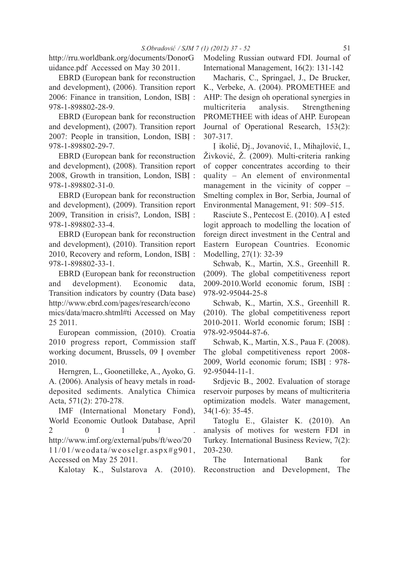http://rru.worldbank.org/documents/DonorG uidance.pdf Accessed on May 30 2011.

EBRD (European bank for reconstruction and development), (2006). Transition report 2006: Finance in transition, London, ISBI : 978-1-898802-28-9.

EBRD (European bank for reconstruction and development), (2007). Transition report 2007: People in transition, London, ISBI : 978-1-898802-29-7.

EBRD (European bank for reconstruction and development), (2008). Transition report 2008, Growth in transition, London, ISBN : 978-1-898802-31-0.

EBRD (European bank for reconstruction and development), (2009). Transition report 2009, Transition in crisis?, London, ISBN : 978-1-898802-33-4.

EBRD (European bank for reconstruction and development), (2010). Transition report 2010, Recovery and reform, London, ISBI : 978-1-898802-33-1.

EBRD (European bank for reconstruction and development). Economic data, Transition indicators by country (Data base) http://www.ebrd.com/pages/research/econo mics/data/macro.shtml#ti Accessed on May

25 2011.

European commission, (2010). Croatia 2010 progress report, Commission staff working document, Brussels, 09 I ovember 2010.

Herngren, L., Goonetilleke, A., Ayoko, G. A. (2006). Analysis of heavy metals in roaddeposited sediments. Analytica Chimica Acta, 571(2): 270-278.

IMF (International Monetary Fond), World Economic Outlook Database, April  $2 \qquad 0 \qquad 1 \qquad 1 \qquad .$ http://www.imf.org/external/pubs/ft/weo/20 11/01/weodata/weoselgr.aspx#g901, Accessed on May 25 2011.

Kalotay K., Sulstarova A. (2010).

Modeling Russian outward FDI. Journal of International Management, 16(2): 131-142

Macharis, C., Springael, J., De Brucker, K., Verbeke, A. (2004). PROMETHEE and AHP: The design oh operational synergies in multicriteria analysis. Strengthening PROMETHEE with ideas of AHP. European Journal of Operational Research, 153(2): 307-317.

N ikolić, Dj., Jovanović, I., Mihajlović, I., Živković, Ž. (2009). Multi-criteria ranking of copper concentrates according to their quality – An element of environmental management in the vicinity of copper – Smelting complex in Bor, Serbia, Journal of Environmental Management, 91: 509–515.

Rasciute S., Pentecost E. (2010). A I ested logit approach to modelling the location of foreign direct investment in the Central and Eastern European Countries. Economic Modelling, 27(1): 32-39

Schwab, K., Martin, X.S., Greenhill R. (2009). The global competitiveness report 2009-2010. World economic forum, ISBI : 978-92-95044-25-8

Schwab, K., Martin, X.S., Greenhill R. (2010). The global competitiveness report 2010-2011. World economic forum; ISBI : 978-92-95044-87-6.

Schwab, K., Martin, X.S., Paua F. (2008). The global competitiveness report 2008- 2009, World economic forum; ISBI : 978-92-95044-11-1.

Srdjevic B., 2002. Evaluation of storage reservoir purposes by means of multicriteria optimization models. Water management, 34(1-6): 35-45.

Tatoglu E., Glaister K. (2010). An analysis of motives for western FDI in Turkey. International Business Review, 7(2): 203-230.

The International Bank for Reconstruction and Development, The